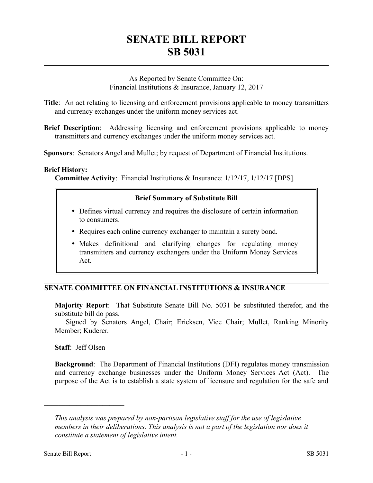# **SENATE BILL REPORT SB 5031**

As Reported by Senate Committee On: Financial Institutions & Insurance, January 12, 2017

**Title**: An act relating to licensing and enforcement provisions applicable to money transmitters and currency exchanges under the uniform money services act.

**Brief Description**: Addressing licensing and enforcement provisions applicable to money transmitters and currency exchanges under the uniform money services act.

**Sponsors**: Senators Angel and Mullet; by request of Department of Financial Institutions.

#### **Brief History:**

**Committee Activity**: Financial Institutions & Insurance: 1/12/17, 1/12/17 [DPS].

## **Brief Summary of Substitute Bill**

- Defines virtual currency and requires the disclosure of certain information to consumers.
- Requires each online currency exchanger to maintain a surety bond.
- Makes definitional and clarifying changes for regulating money transmitters and currency exchangers under the Uniform Money Services Act.

## **SENATE COMMITTEE ON FINANCIAL INSTITUTIONS & INSURANCE**

**Majority Report**: That Substitute Senate Bill No. 5031 be substituted therefor, and the substitute bill do pass.

Signed by Senators Angel, Chair; Ericksen, Vice Chair; Mullet, Ranking Minority Member; Kuderer.

**Staff**: Jeff Olsen

––––––––––––––––––––––

**Background**: The Department of Financial Institutions (DFI) regulates money transmission and currency exchange businesses under the Uniform Money Services Act (Act). The purpose of the Act is to establish a state system of licensure and regulation for the safe and

*This analysis was prepared by non-partisan legislative staff for the use of legislative members in their deliberations. This analysis is not a part of the legislation nor does it constitute a statement of legislative intent.*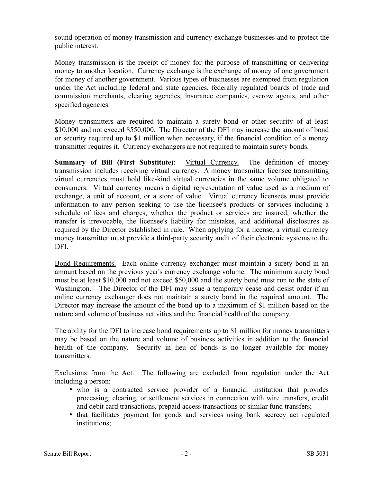sound operation of money transmission and currency exchange businesses and to protect the public interest.

Money transmission is the receipt of money for the purpose of transmitting or delivering money to another location. Currency exchange is the exchange of money of one government for money of another government. Various types of businesses are exempted from regulation under the Act including federal and state agencies, federally regulated boards of trade and commission merchants, clearing agencies, insurance companies, escrow agents, and other specified agencies.

Money transmitters are required to maintain a surety bond or other security of at least \$10,000 and not exceed \$550,000. The Director of the DFI may increase the amount of bond or security required up to \$1 million when necessary, if the financial condition of a money transmitter requires it. Currency exchangers are not required to maintain surety bonds.

**Summary of Bill (First Substitute)**: Virtual Currency. The definition of money transmission includes receiving virtual currency. A money transmitter licensee transmitting virtual currencies must hold like-kind virtual currencies in the same volume obligated to consumers. Virtual currency means a digital representation of value used as a medium of exchange, a unit of account, or a store of value. Virtual currency licensees must provide information to any person seeking to use the licensee's products or services including a schedule of fees and charges, whether the product or services are insured, whether the transfer is irrevocable, the licensee's liability for mistakes, and additional disclosures as required by the Director established in rule. When applying for a license, a virtual currency money transmitter must provide a third-party security audit of their electronic systems to the DFI.

Bond Requirements. Each online currency exchanger must maintain a surety bond in an amount based on the previous year's currency exchange volume. The minimum surety bond must be at least \$10,000 and not exceed \$50,000 and the surety bond must run to the state of Washington. The Director of the DFI may issue a temporary cease and desist order if an online currency exchanger does not maintain a surety bond in the required amount. The Director may increase the amount of the bond up to a maximum of \$1 million based on the nature and volume of business activities and the financial health of the company.

The ability for the DFI to increase bond requirements up to \$1 million for money transmitters may be based on the nature and volume of business activities in addition to the financial health of the company. Security in lieu of bonds is no longer available for money transmitters.

Exclusions from the Act. The following are excluded from regulation under the Act including a person:

- who is a contracted service provider of a financial institution that provides processing, clearing, or settlement services in connection with wire transfers, credit and debit card transactions, prepaid access transactions or similar fund transfers;
- that facilitates payment for goods and services using bank secrecy act regulated institutions;